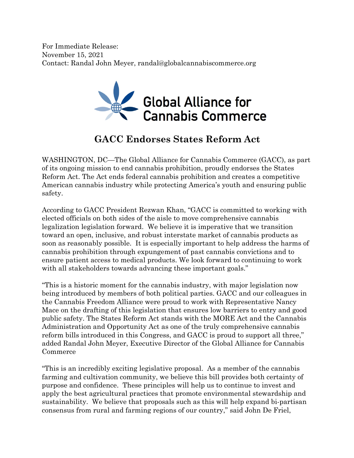For Immediate Release: November 15, 2021 Contact: Randal John Meyer, randal@globalcannabiscommerce.org



## **GACC Endorses States Reform Act**

WASHINGTON, DC—The Global Alliance for Cannabis Commerce (GACC), as part of its ongoing mission to end cannabis prohibition, proudly endorses the States Reform Act. The Act ends federal cannabis prohibition and creates a competitive American cannabis industry while protecting America's youth and ensuring public safety.

According to GACC President Rezwan Khan, "GACC is committed to working with elected officials on both sides of the aisle to move comprehensive cannabis legalization legislation forward. We believe it is imperative that we transition toward an open, inclusive, and robust interstate market of cannabis products as soon as reasonably possible. It is especially important to help address the harms of cannabis prohibition through expungement of past cannabis convictions and to ensure patient access to medical products. We look forward to continuing to work with all stakeholders towards advancing these important goals."

"This is a historic moment for the cannabis industry, with major legislation now being introduced by members of both political parties. GACC and our colleagues in the Cannabis Freedom Alliance were proud to work with Representative Nancy Mace on the drafting of this legislation that ensures low barriers to entry and good public safety. The States Reform Act stands with the MORE Act and the Cannabis Administration and Opportunity Act as one of the truly comprehensive cannabis reform bills introduced in this Congress, and GACC is proud to support all three," added Randal John Meyer, Executive Director of the Global Alliance for Cannabis Commerce

"This is an incredibly exciting legislative proposal. As a member of the cannabis farming and cultivation community, we believe this bill provides both certainty of purpose and confidence. These principles will help us to continue to invest and apply the best agricultural practices that promote environmental stewardship and sustainability. We believe that proposals such as this will help expand bi-partisan consensus from rural and farming regions of our country," said John De Friel,